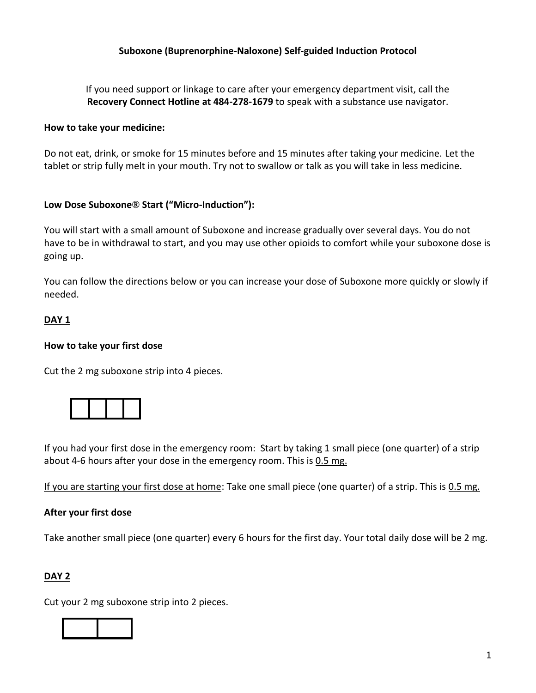If you need support or linkage to care after your emergency department visit, call the **Recovery Connect Hotline at 484-278-1679** to speak with a substance use navigator.

#### **How to take your medicine:**

Do not eat, drink, or smoke for 15 minutes before and 15 minutes after taking your medicine. Let the tablet or strip fully melt in your mouth. Try not to swallow or talk as you will take in less medicine.

## **Low Dose Suboxone® Start ("Micro-Induction"):**

You will start with a small amount of Suboxone and increase gradually over several days. You do not have to be in withdrawal to start, and you may use other opioids to comfort while your suboxone dose is going up.

You can follow the directions below or you can increase your dose of Suboxone more quickly or slowly if needed.

## **DAY 1**

#### **How to take your first dose**

Cut the 2 mg suboxone strip into 4 pieces.



If you had your first dose in the emergency room: Start by taking 1 small piece (one quarter) of a strip about 4-6 hours after your dose in the emergency room. This is 0.5 mg.

If you are starting your first dose at home: Take one small piece (one quarter) of a strip. This is 0.5 mg.

#### **After your first dose**

Take another small piece (one quarter) every 6 hours for the first day. Your total daily dose will be 2 mg.

## **DAY 2**

Cut your 2 mg suboxone strip into 2 pieces.